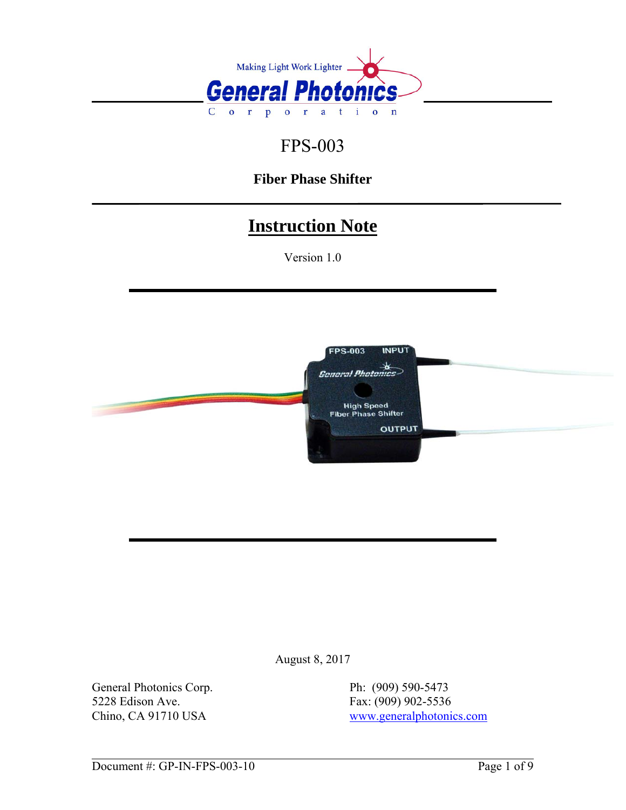

# FPS-003

## **Fiber Phase Shifter**

# **Instruction Note**

Version 1.0



August 8, 2017

General Photonics Corp.<br>
5228 Edison Ave.<br>
Fax: (909) 902-5536 5228 Edison Ave.<br>
Chino, CA 91710 USA<br>
Fax: (909) 902-5536<br>
www.generalphotoni

[www.generalphotonics.com](http://www.generalphotonics.com/)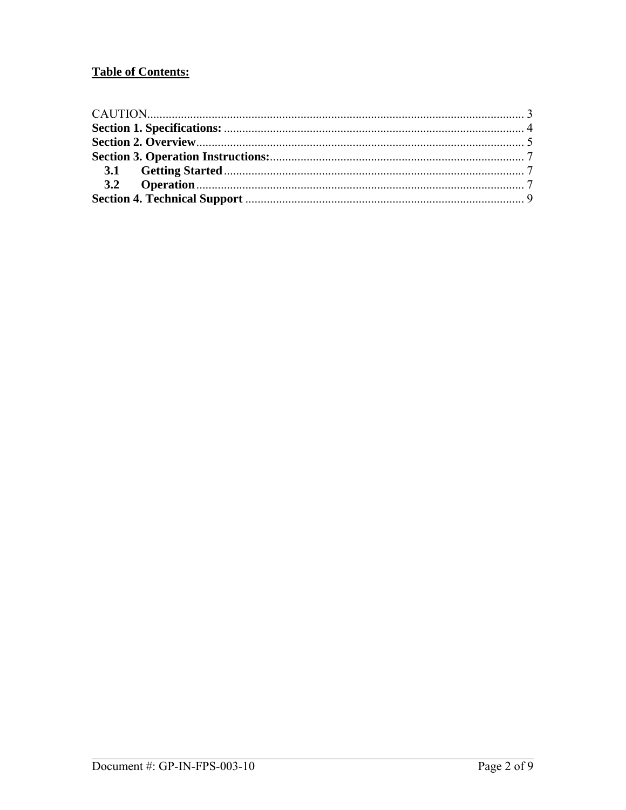## **Table of Contents:**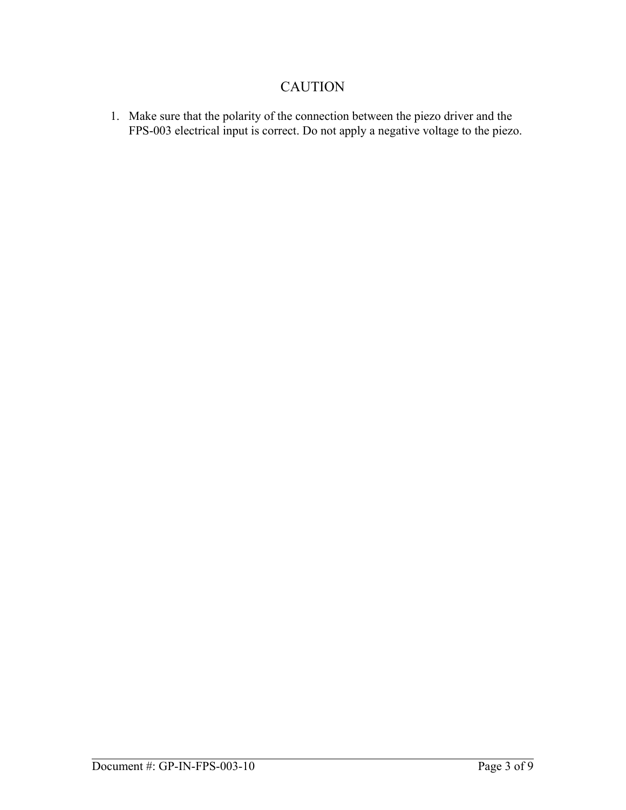### CAUTION

<span id="page-2-0"></span>1. Make sure that the polarity of the connection between the piezo driver and the FPS-003 electrical input is correct. Do not apply a negative voltage to the piezo.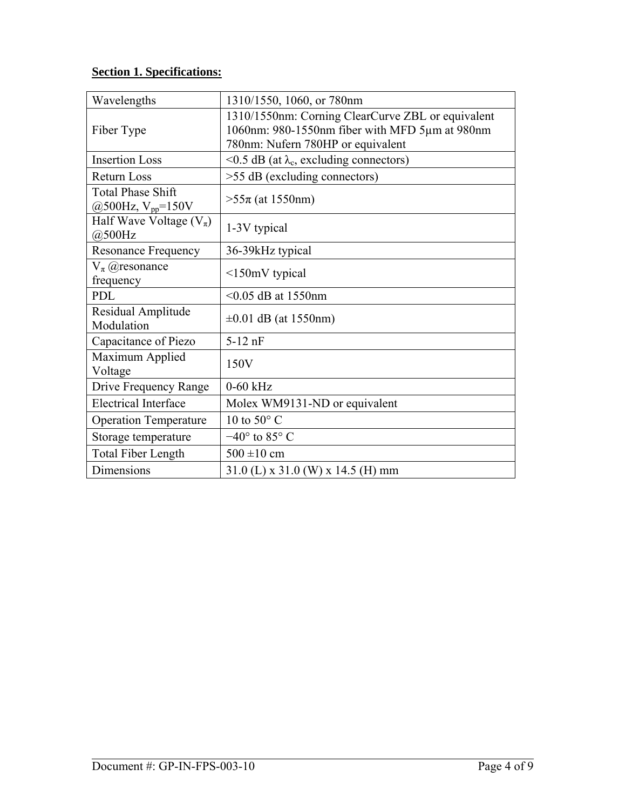### <span id="page-3-0"></span>**Section 1. Specifications:**

| Wavelengths                                        | 1310/1550, 1060, or 780nm                                                                                                                |
|----------------------------------------------------|------------------------------------------------------------------------------------------------------------------------------------------|
| Fiber Type                                         | 1310/1550nm: Corning ClearCurve ZBL or equivalent<br>1060nm: 980-1550nm fiber with MFD 5µm at 980nm<br>780nm: Nufern 780HP or equivalent |
| <b>Insertion Loss</b>                              | <0.5 dB (at $\lambda_c$ , excluding connectors)                                                                                          |
| <b>Return Loss</b>                                 | $>55$ dB (excluding connectors)                                                                                                          |
| <b>Total Phase Shift</b><br>@500Hz, $V_{pp}$ =150V | $>55\pi$ (at 1550nm)                                                                                                                     |
| Half Wave Voltage $(V_\pi)$<br>@500Hz              | 1-3V typical                                                                                                                             |
| <b>Resonance Frequency</b>                         | 36-39kHz typical                                                                                                                         |
| $V_{\pi}$ ( <i>a</i> ) resonance<br>frequency      | $\leq$ 150mV typical                                                                                                                     |
| <b>PDL</b>                                         | $< 0.05$ dB at 1550nm                                                                                                                    |
| Residual Amplitude<br>Modulation                   | $\pm 0.01$ dB (at 1550nm)                                                                                                                |
| Capacitance of Piezo                               | $5-12$ nF                                                                                                                                |
| Maximum Applied<br>Voltage                         | 150V                                                                                                                                     |
| Drive Frequency Range                              | $0-60$ kHz                                                                                                                               |
| <b>Electrical Interface</b>                        | Molex WM9131-ND or equivalent                                                                                                            |
| <b>Operation Temperature</b>                       | 10 to 50 $\degree$ C                                                                                                                     |
| Storage temperature                                | $-40^{\circ}$ to 85° C                                                                                                                   |
| <b>Total Fiber Length</b>                          | $500 \pm 10$ cm                                                                                                                          |
| Dimensions                                         | $31.0$ (L) x $31.0$ (W) x $14.5$ (H) mm                                                                                                  |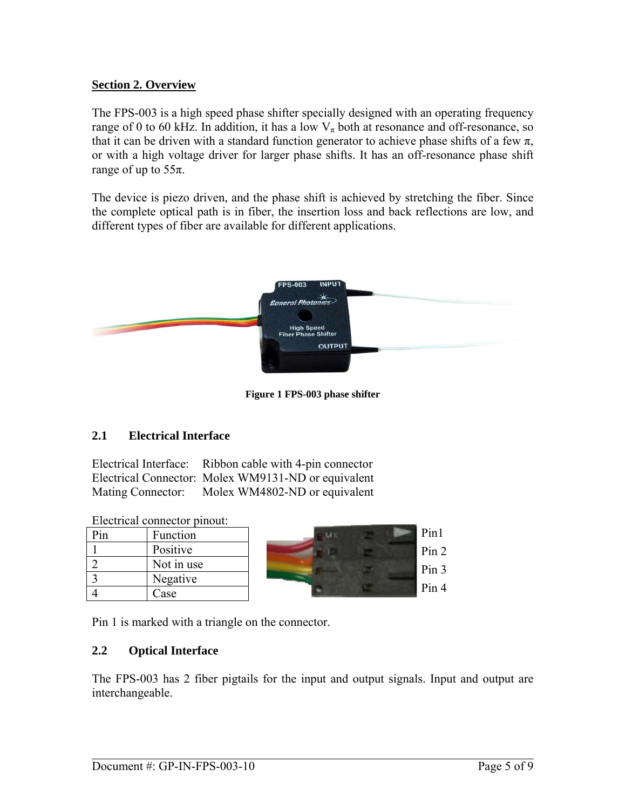#### <span id="page-4-0"></span>**Section 2. Overview**

The FPS-003 is a high speed phase shifter specially designed with an operating frequency range of 0 to 60 kHz. In addition, it has a low  $V_{\pi}$  both at resonance and off-resonance, so that it can be driven with a standard function generator to achieve phase shifts of a few  $\pi$ , or with a high voltage driver for larger phase shifts. It has an off-resonance phase shift range of up to  $55\pi$ .

The device is piezo driven, and the phase shift is achieved by stretching the fiber. Since the complete optical path is in fiber, the insertion loss and back reflections are low, and different types of fiber are available for different applications.



**Figure 1 FPS-003 phase shifter** 

#### **2.1 Electrical Interface**

Electrical Interface: Ribbon cable with 4-pin connector Electrical Connector: Molex WM9131-ND or equivalent Mating Connector: Molex WM4802-ND or equivalent

| Electrical connector pinout: |  |
|------------------------------|--|
|                              |  |

| Pin | Function   |
|-----|------------|
|     | Positive   |
|     | Not in use |
|     | Negative   |
|     | Case       |



Pin 1 is marked with a triangle on the connector.

#### **2.2 Optical Interface**

The FPS-003 has 2 fiber pigtails for the input and output signals. Input and output are interchangeable.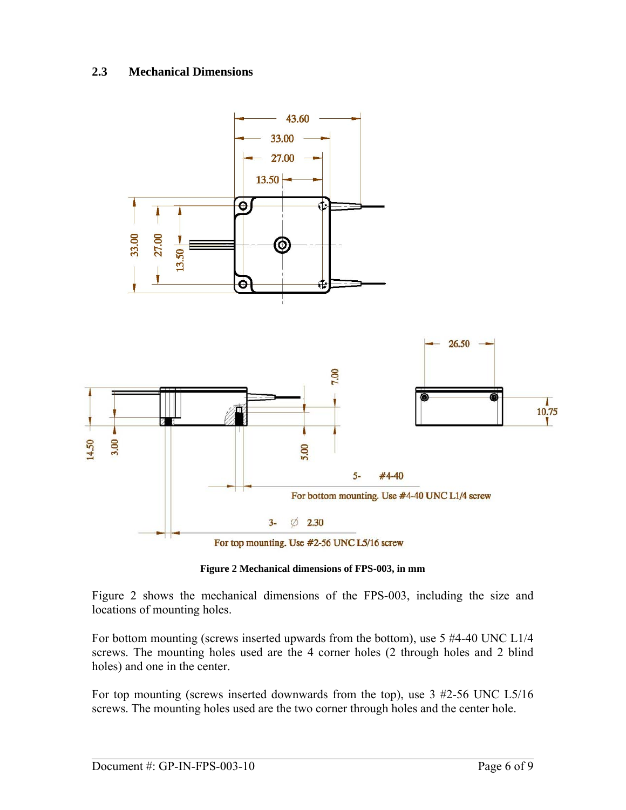#### **2.3 Mechanical Dimensions**



**Figure 2 Mechanical dimensions of FPS-003, in mm** 

<span id="page-5-0"></span>[Figure 2](#page-5-0) shows the mechanical dimensions of the FPS-003, including the size and locations of mounting holes.

For bottom mounting (screws inserted upwards from the bottom), use 5 #4-40 UNC L1/4 screws. The mounting holes used are the 4 corner holes (2 through holes and 2 blind holes) and one in the center.

For top mounting (screws inserted downwards from the top), use 3 #2-56 UNC L5/16 screws. The mounting holes used are the two corner through holes and the center hole.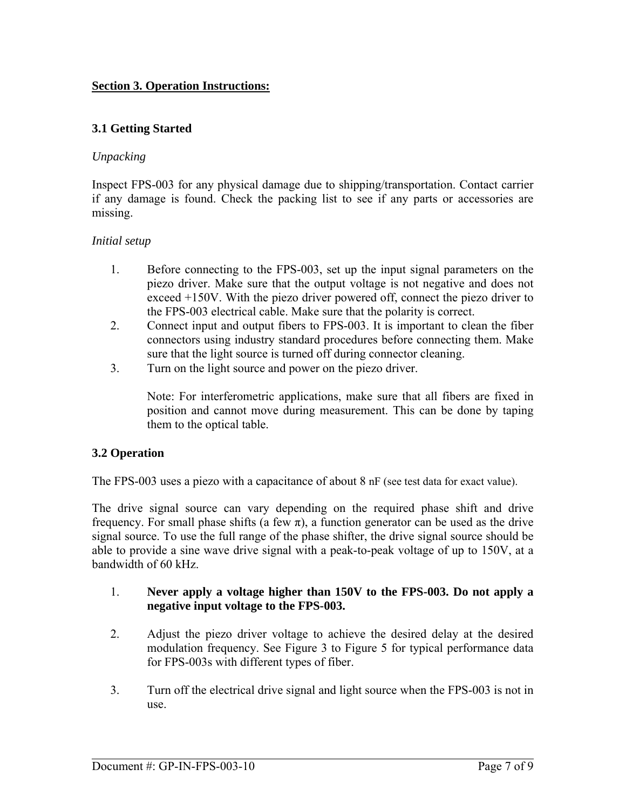#### <span id="page-6-0"></span>**Section 3. Operation Instructions:**

#### **3.1 Getting Started**

#### *Unpacking*

Inspect FPS-003 for any physical damage due to shipping/transportation. Contact carrier if any damage is found. Check the packing list to see if any parts or accessories are missing.

#### *Initial setup*

- 1. Before connecting to the FPS-003, set up the input signal parameters on the piezo driver. Make sure that the output voltage is not negative and does not exceed +150V. With the piezo driver powered off, connect the piezo driver to the FPS-003 electrical cable. Make sure that the polarity is correct.
- 2. Connect input and output fibers to FPS-003. It is important to clean the fiber connectors using industry standard procedures before connecting them. Make sure that the light source is turned off during connector cleaning.
- 3. Turn on the light source and power on the piezo driver.

Note: For interferometric applications, make sure that all fibers are fixed in position and cannot move during measurement. This can be done by taping them to the optical table.

#### **3.2 Operation**

The FPS-003 uses a piezo with a capacitance of about 8 nF (see test data for exact value).

The drive signal source can vary depending on the required phase shift and drive frequency. For small phase shifts (a few  $\pi$ ), a function generator can be used as the drive signal source. To use the full range of the phase shifter, the drive signal source should be able to provide a sine wave drive signal with a peak-to-peak voltage of up to 150V, at a bandwidth of 60 kHz.

- 1. **Never apply a voltage higher than 150V to the FPS-003. Do not apply a negative input voltage to the FPS-003.**
- 2. Adjust the piezo driver voltage to achieve the desired delay at the desired modulation frequency. See [Figure 3](#page-7-0) to [Figure 5](#page-7-1) for typical performance data for FPS-003s with different types of fiber.
- 3. Turn off the electrical drive signal and light source when the FPS-003 is not in use.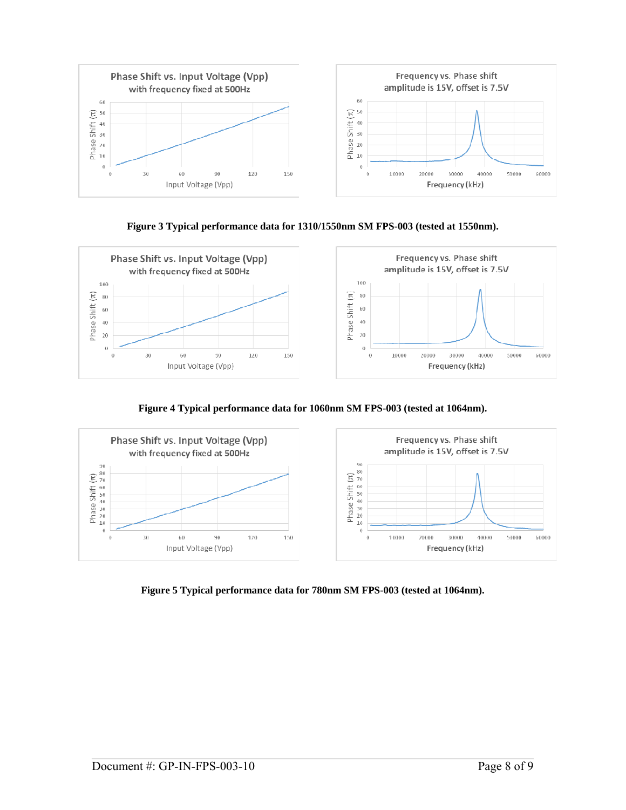



<span id="page-7-0"></span>

**Figure 4 Typical performance data for 1060nm SM FPS-003 (tested at 1064nm).** 



<span id="page-7-1"></span>**Figure 5 Typical performance data for 780nm SM FPS-003 (tested at 1064nm).**